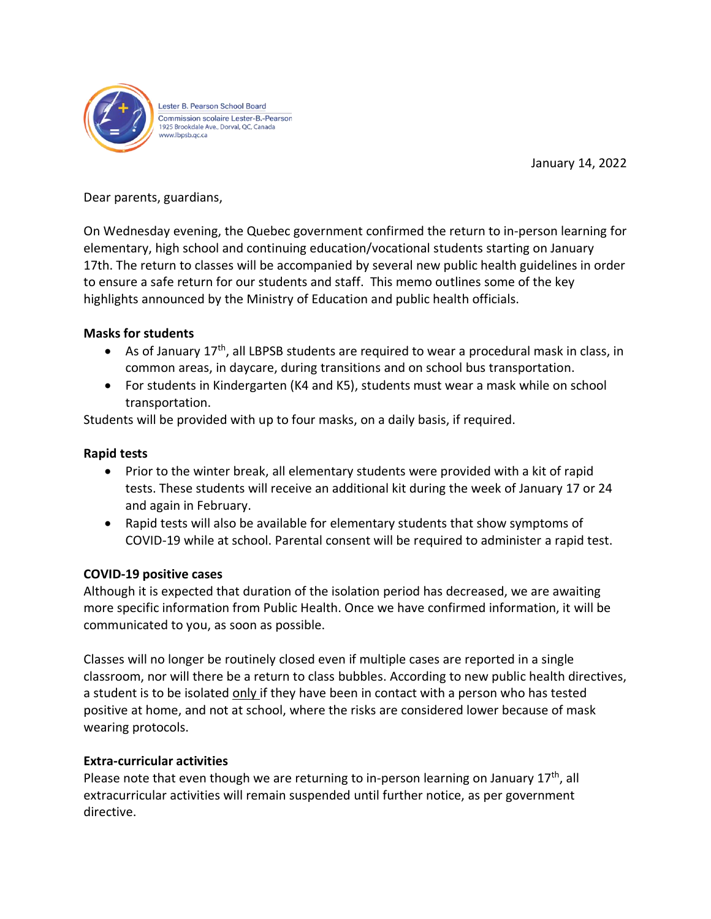

Lester B. Pearson School Board **Commission scolaire Lester-B.-Pearson** 1925 Brookdale Ave., Dorval, QC, Canada ww.lbpsb.gc.ca

January 14, 2022

Dear parents, guardians,

On Wednesday evening, the Quebec government confirmed the return to in-person learning for elementary, high school and continuing education/vocational students starting on January 17th. The return to classes will be accompanied by several new public health guidelines in order to ensure a safe return for our students and staff. This memo outlines some of the key highlights announced by the Ministry of Education and public health officials.

# **Masks for students**

- As of January  $17<sup>th</sup>$ , all LBPSB students are required to wear a procedural mask in class, in common areas, in daycare, during transitions and on school bus transportation.
- For students in Kindergarten (K4 and K5), students must wear a mask while on school transportation.

Students will be provided with up to four masks, on a daily basis, if required.

# **Rapid tests**

- Prior to the winter break, all elementary students were provided with a kit of rapid tests. These students will receive an additional kit during the week of January 17 or 24 and again in February.
- Rapid tests will also be available for elementary students that show symptoms of COVID-19 while at school. Parental consent will be required to administer a rapid test.

# **COVID-19 positive cases**

Although it is expected that duration of the isolation period has decreased, we are awaiting more specific information from Public Health. Once we have confirmed information, it will be communicated to you, as soon as possible.

Classes will no longer be routinely closed even if multiple cases are reported in a single classroom, nor will there be a return to class bubbles. According to new public health directives, a student is to be isolated only if they have been in contact with a person who has tested positive at home, and not at school, where the risks are considered lower because of mask wearing protocols.

### **Extra-curricular activities**

Please note that even though we are returning to in-person learning on January  $17<sup>th</sup>$ , all extracurricular activities will remain suspended until further notice, as per government directive.